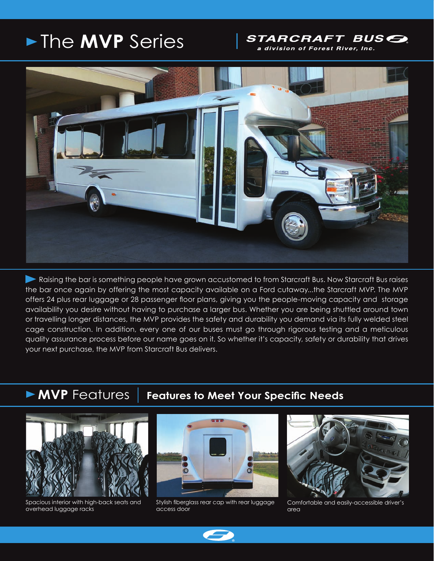# The **MVP** Series

## *STARCRAFT BUSE*

a division of Forest River, Inc.



**Raising the bar is something people have grown accustomed to from Starcraft Bus. Now Starcraft Bus raises** the bar once again by offering the most capacity available on a Ford cutaway...the Starcraft MVP. The MVP offers 24 plus rear luggage or 28 passenger floor plans, giving you the people-moving capacity and storage availability you desire without having to purchase a larger bus. Whether you are being shuttled around town or travelling longer distances, the MVP provides the safety and durability you demand via its fully welded steel cage construction. In addition, every one of our buses must go through rigorous testing and a meticulous quality assurance process before our name goes on it. So whether it's capacity, safety or durability that drives your next purchase, the MVP from Starcraft Bus delivers.

## **MVP** Features Features to Meet Your Specific Needs



ī

Spacious interior with high-back seats and overhead luggage racks



Stylish fiberglass rear cap with rear luggage access door



Comfortable and easily-accessible driver's area